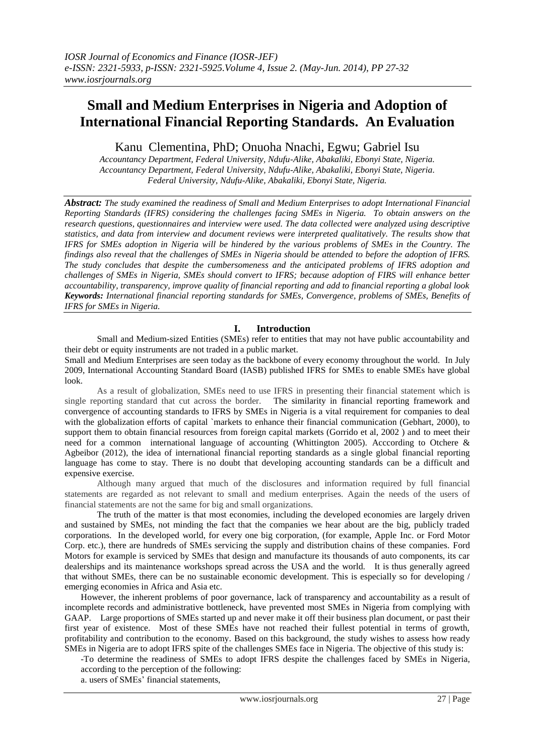# **Small and Medium Enterprises in Nigeria and Adoption of International Financial Reporting Standards. An Evaluation**

Kanu Clementina, PhD; Onuoha Nnachi, Egwu; Gabriel Isu

*Accountancy Department, Federal University, Ndufu-Alike, Abakaliki, Ebonyi State, Nigeria. Accountancy Department, Federal University, Ndufu-Alike, Abakaliki, Ebonyi State, Nigeria. Federal University, Ndufu-Alike, Abakaliki, Ebonyi State, Nigeria.*

*Abstract: The study examined the readiness of Small and Medium Enterprises to adopt International Financial Reporting Standards (IFRS) considering the challenges facing SMEs in Nigeria. To obtain answers on the research questions, questionnaires and interview were used. The data collected were analyzed using descriptive statistics, and data from interview and document reviews were interpreted qualitatively. The results show that IFRS for SMEs adoption in Nigeria will be hindered by the various problems of SMEs in the Country. The findings also reveal that the challenges of SMEs in Nigeria should be attended to before the adoption of IFRS. The study concludes that despite the cumbersomeness and the anticipated problems of IFRS adoption and challenges of SMEs in Nigeria, SMEs should convert to IFRS; because adoption of FIRS will enhance better accountability, transparency, improve quality of financial reporting and add to financial reporting a global look Keywords: International financial reporting standards for SMEs, Convergence, problems of SMEs, Benefits of IFRS for SMEs in Nigeria.* 

## **I. Introduction**

Small and Medium-sized Entities (SMEs) refer to entities that may not have public accountability and their debt or equity instruments are not traded in a public market.

Small and Medium Enterprises are seen today as the backbone of every economy throughout the world. In July 2009, International Accounting Standard Board (IASB) published IFRS for SMEs to enable SMEs have global look.

As a result of globalization, SMEs need to use IFRS in presenting their financial statement which is single reporting standard that cut across the border. The similarity in financial reporting framework and convergence of accounting standards to IFRS by SMEs in Nigeria is a vital requirement for companies to deal with the globalization efforts of capital `markets to enhance their financial communication (Gebhart, 2000), to support them to obtain financial resources from foreign capital markets (Gorrido et al, 2002) and to meet their need for a common international language of accounting (Whittington 2005). Acccording to Otchere & Agbeibor (2012), the idea of international financial reporting standards as a single global financial reporting language has come to stay. There is no doubt that developing accounting standards can be a difficult and expensive exercise.

Although many argued that much of the disclosures and information required by full financial statements are regarded as not relevant to small and medium enterprises. Again the needs of the users of financial statements are not the same for big and small organizations.

The truth of the matter is that most economies, including the developed economies are largely driven and sustained by SMEs, not minding the fact that the companies we hear about are the big, publicly traded corporations. In the developed world, for every one big corporation, (for example, Apple Inc. or Ford Motor Corp. etc.), there are hundreds of SMEs servicing the supply and distribution chains of these companies. Ford Motors for example is serviced by SMEs that design and manufacture its thousands of auto components, its car dealerships and its maintenance workshops spread across the USA and the world. It is thus generally agreed that without SMEs, there can be no sustainable economic development. This is especially so for developing / emerging economies in Africa and Asia etc.

However, the inherent problems of poor governance, lack of transparency and accountability as a result of incomplete records and administrative bottleneck, have prevented most SMEs in Nigeria from complying with GAAP. Large proportions of SMEs started up and never make it off their business plan document, or past their first year of existence. Most of these SMEs have not reached their fullest potential in terms of growth, profitability and contribution to the economy. Based on this background, the study wishes to assess how ready SMEs in Nigeria are to adopt IFRS spite of the challenges SMEs face in Nigeria. The objective of this study is:

-To determine the readiness of SMEs to adopt IFRS despite the challenges faced by SMEs in Nigeria, according to the perception of the following:

a. users of SMEs' financial statements,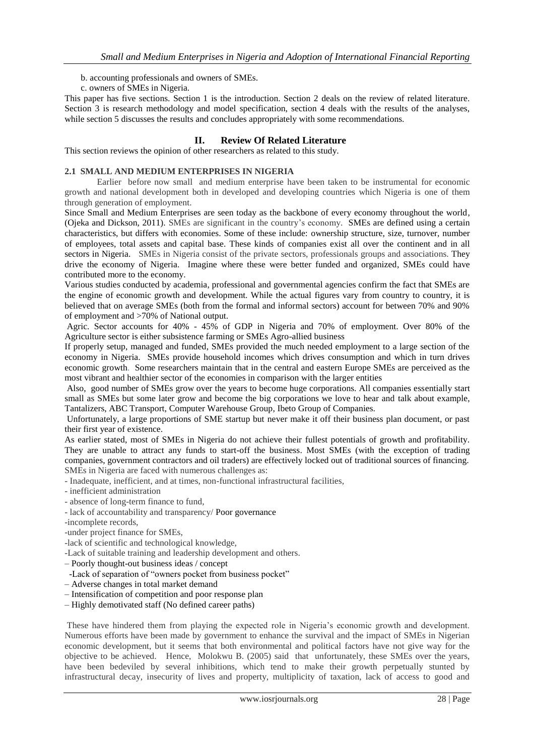b. accounting professionals and owners of SMEs.

c. owners of SMEs in Nigeria.

This paper has five sections. Section 1 is the introduction. Section 2 deals on the review of related literature. Section 3 is research methodology and model specification, section 4 deals with the results of the analyses, while section 5 discusses the results and concludes appropriately with some recommendations.

## **II. Review Of Related Literature**

This section reviews the opinion of other researchers as related to this study.

## **2.1 SMALL AND MEDIUM ENTERPRISES IN NIGERIA**

Earlier before now small and medium enterprise have been taken to be instrumental for economic growth and national development both in developed and developing countries which Nigeria is one of them through generation of employment.

Since Small and Medium Enterprises are seen today as the backbone of every economy throughout the world, (Ojeka and Dickson, 2011). SMEs are significant in the country's economy. SMEs are defined using a certain characteristics, but differs with economies. Some of these include: ownership structure, size, turnover, number of employees, total assets and capital base. These kinds of companies exist all over the continent and in all sectors in Nigeria. SMEs in Nigeria consist of the private sectors, professionals groups and associations. They drive the economy of Nigeria. Imagine where these were better funded and organized, SMEs could have contributed more to the economy.

Various studies conducted by academia, professional and governmental agencies confirm the fact that SMEs are the engine of economic growth and development. While the actual figures vary from country to country, it is believed that on average SMEs (both from the formal and informal sectors) account for between 70% and 90% of employment and >70% of National output.

Agric. Sector accounts for 40% - 45% of GDP in Nigeria and 70% of employment. Over 80% of the Agriculture sector is either subsistence farming or SMEs Agro-allied business

If properly setup, managed and funded, SMEs provided the much needed employment to a large section of the economy in Nigeria. SMEs provide household incomes which drives consumption and which in turn drives economic growth. Some researchers maintain that in the central and eastern Europe SMEs are perceived as the most vibrant and healthier sector of the economies in comparison with the larger entities

Also, good number of SMEs grow over the years to become huge corporations. All companies essentially start small as SMEs but some later grow and become the big corporations we love to hear and talk about example, Tantalizers, ABC Transport, Computer Warehouse Group, Ibeto Group of Companies.

Unfortunately, a large proportions of SME startup but never make it off their business plan document, or past their first year of existence.

As earlier stated, most of SMEs in Nigeria do not achieve their fullest potentials of growth and profitability*.* They are unable to attract any funds to start-off the business. Most SMEs (with the exception of trading companies, government contractors and oil traders) are effectively locked out of traditional sources of financing. SMEs in Nigeria are faced with numerous challenges as:

- Inadequate, inefficient, and at times, non-functional infrastructural facilities,

- inefficient administration

- absence of long-term finance to fund,
- lack of accountability and transparency/ Poor governance
- -incomplete records,
- -under project finance for SMEs,
- -lack of scientific and technological knowledge,
- -Lack of suitable training and leadership development and others.
- Poorly thought-out business ideas / concept
- -Lack of separation of "owners pocket from business pocket"
- Adverse changes in total market demand
- Intensification of competition and poor response plan
- Highly demotivated staff (No defined career paths)

These have hindered them from playing the expected role in Nigeria's economic growth and development. Numerous efforts have been made by government to enhance the survival and the impact of SMEs in Nigerian economic development, but it seems that both environmental and political factors have not give way for the objective to be achieved. Hence, Molokwu B. (2005) said that unfortunately, these SMEs over the years, have been bedeviled by several inhibitions, which tend to make their growth perpetually stunted by infrastructural decay, insecurity of lives and property, multiplicity of taxation, lack of access to good and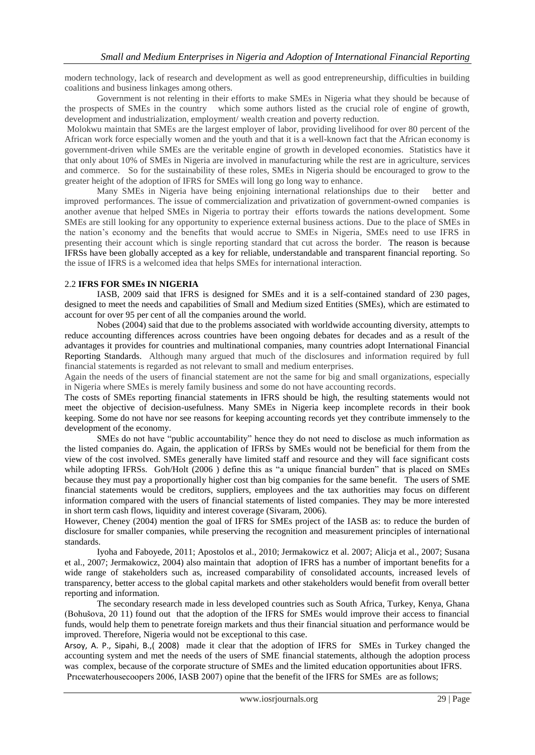modern technology, lack of research and development as well as good entrepreneurship, difficulties in building coalitions and business linkages among others.

Government is not relenting in their efforts to make SMEs in Nigeria what they should be because of the prospects of SMEs in the country which some authors listed as the crucial role of engine of growth, development and industrialization, employment/ wealth creation and poverty reduction.

Molokwu maintain that SMEs are the largest employer of labor, providing livelihood for over 80 percent of the African work force especially women and the youth and that it is a well-known fact that the African economy is government-driven while SMEs are the veritable engine of growth in developed economies. Statistics have it that only about 10% of SMEs in Nigeria are involved in manufacturing while the rest are in agriculture, services and commerce. So for the sustainability of these roles, SMEs in Nigeria should be encouraged to grow to the greater height of the adoption of IFRS for SMEs will long go long way to enhance.

Many SMEs in Nigeria have being enjoining international relationships due to their better and improved performances. The issue of commercialization and privatization of government-owned companies is another avenue that helped SMEs in Nigeria to portray their efforts towards the nations development. Some SMEs are still looking for any opportunity to experience external business actions. Due to the place of SMEs in the nation's economy and the benefits that would accrue to SMEs in Nigeria, SMEs need to use IFRS in presenting their account which is single reporting standard that cut across the border. The reason is because IFRSs have been globally accepted as a key for reliable, understandable and transparent financial reporting. So the issue of IFRS is a welcomed idea that helps SMEs for international interaction.

#### 2.2 **IFRS FOR SMEs IN NIGERIA**

IASB, 2009 said that IFRS is designed for SMEs and it is a self-contained standard of 230 pages, designed to meet the needs and capabilities of Small and Medium sized Entities (SMEs), which are estimated to account for over 95 per cent of all the companies around the world.

Nobes (2004) said that due to the problems associated with worldwide accounting diversity, attempts to reduce accounting differences across countries have been ongoing debates for decades and as a result of the advantages it provides for countries and multinational companies, many countries adopt International Financial Reporting Standards. Although many argued that much of the disclosures and information required by full financial statements is regarded as not relevant to small and medium enterprises.

Again the needs of the users of financial statement are not the same for big and small organizations, especially in Nigeria where SMEs is merely family business and some do not have accounting records.

The costs of SMEs reporting financial statements in IFRS should be high, the resulting statements would not meet the objective of decision-usefulness. Many SMEs in Nigeria keep incomplete records in their book keeping. Some do not have nor see reasons for keeping accounting records yet they contribute immensely to the development of the economy.

SMEs do not have "public accountability" hence they do not need to disclose as much information as the listed companies do. Again, the application of IFRSs by SMEs would not be beneficial for them from the view of the cost involved. SMEs generally have limited staff and resource and they will face significant costs while adopting IFRSs. Goh/Holt (2006 ) define this as "a unique financial burden" that is placed on SMEs because they must pay a proportionally higher cost than big companies for the same benefit. The users of SME financial statements would be creditors, suppliers, employees and the tax authorities may focus on different information compared with the users of financial statements of listed companies. They may be more interested in short term cash flows, liquidity and interest coverage (Sivaram, 2006).

However, Cheney (2004) mention the goal of IFRS for SMEs project of the IASB as: to reduce the burden of disclosure for smaller companies, while preserving the recognition and measurement principles of international standards.

Iyoha and Faboyede, 2011; Apostolos et al., 2010; Jermakowicz et al. 2007; Alicja et al., 2007; Susana et al., 2007; Jermakowicz, 2004) also maintain that adoption of IFRS has a number of important benefits for a wide range of stakeholders such as, increased comparability of consolidated accounts, increased levels of transparency, better access to the global capital markets and other stakeholders would benefit from overall better reporting and information.

The secondary research made in less developed countries such as South Africa, Turkey, Kenya, Ghana (Bohušova, 20 11) found out that the adoption of the IFRS for SMEs would improve their access to financial funds, would help them to penetrate foreign markets and thus their financial situation and performance would be improved. Therefore, Nigeria would not be exceptional to this case.

Arsoy, A. P., Sipahi, B.,( 2008) made it clear that the adoption of IFRS for SMEs in Turkey changed the accounting system and met the needs of the users of SME financial statements, although the adoption process was complex, because of the corporate structure of SMEs and the limited education opportunities about IFRS. Prıcewaterhousecoopers 2006, IASB 2007) opine that the benefit of the IFRS for SMEs are as follows;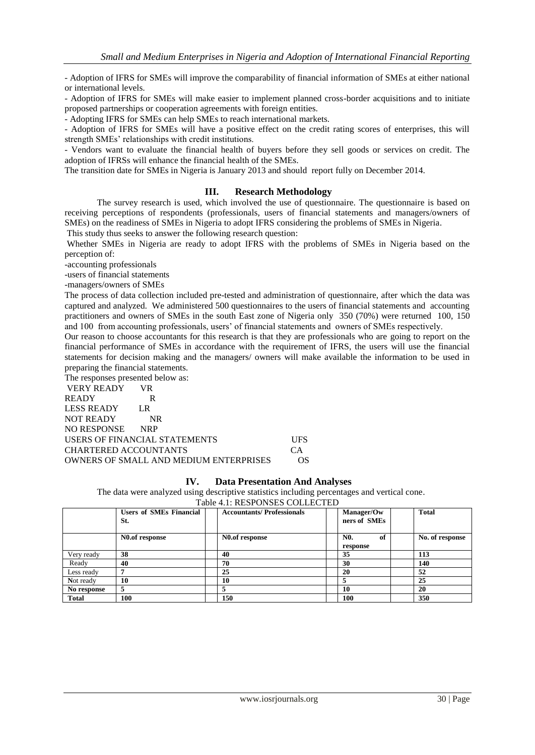- Adoption of IFRS for SMEs will improve the comparability of financial information of SMEs at either national or international levels.

- Adoption of IFRS for SMEs will make easier to implement planned cross-border acquisitions and to initiate proposed partnerships or cooperation agreements with foreign entities.

- Adopting IFRS for SMEs can help SMEs to reach international markets.

- Adoption of IFRS for SMEs will have a positive effect on the credit rating scores of enterprises, this will strength SMEs' relationships with credit institutions.

- Vendors want to evaluate the financial health of buyers before they sell goods or services on credit. The adoption of IFRSs will enhance the financial health of the SMEs.

The transition date for SMEs in Nigeria is January 2013 and should report fully on December 2014.

#### **III. Research Methodology**

The survey research is used, which involved the use of questionnaire. The questionnaire is based on receiving perceptions of respondents (professionals, users of financial statements and managers/owners of SMEs) on the readiness of SMEs in Nigeria to adopt IFRS considering the problems of SMEs in Nigeria*.*

This study thus seeks to answer the following research question:

Whether SMEs in Nigeria are ready to adopt IFRS with the problems of SMEs in Nigeria based on the perception of:

-accounting professionals

-users of financial statements

-managers/owners of SMEs

The process of data collection included pre-tested and administration of questionnaire, after which the data was captured and analyzed. We administered 500 questionnaires to the users of financial statements and accounting practitioners and owners of SMEs in the south East zone of Nigeria only 350 (70%) were returned 100, 150 and 100 from accounting professionals, users' of financial statements and owners of SMEs respectively.

Our reason to choose accountants for this research is that they are professionals who are going to report on the financial performance of SMEs in accordance with the requirement of IFRS, the users will use the financial statements for decision making and the managers/ owners will make available the information to be used in preparing the financial statements.

The responses presented below as:

| VERY READY            | VR.                                    |                |
|-----------------------|----------------------------------------|----------------|
| <b>READY</b>          | R                                      |                |
| LESS READY            | LR                                     |                |
| NOT READY             | <b>NR</b>                              |                |
| NO RESPONSE NRP       |                                        |                |
|                       | USERS OF FINANCIAL STATEMENTS          | <b>UES</b>     |
| CHARTERED ACCOUNTANTS |                                        | CA <sup></sup> |
|                       | OWNERS OF SMALL AND MEDIUM ENTERPRISES | OS             |
|                       |                                        |                |

#### **IV. Data Presentation And Analyses**

The data were analyzed using descriptive statistics including percentages and vertical cone.

| Table 4.1: RESPONSES COLLECTED |  |
|--------------------------------|--|
|--------------------------------|--|

| <b>Users of SMEs Financial</b><br>St. |                             | <b>Accountants/Professionals</b> | Manager/Ow<br>ners of SMEs         | <b>Total</b>    |  |  |
|---------------------------------------|-----------------------------|----------------------------------|------------------------------------|-----------------|--|--|
|                                       | N <sub>0.0</sub> f response | N <sub>0.of</sub> response       | N <sub>0</sub> .<br>of<br>response | No. of response |  |  |
| 38<br>40<br>Very ready                |                             |                                  | 35                                 |                 |  |  |
| Ready                                 | 40                          | 70                               | 30                                 | 140             |  |  |
| Less ready<br>Not ready<br>10         |                             | 25                               | 20                                 | 52<br>25        |  |  |
|                                       |                             | 10                               |                                    |                 |  |  |
| No response                           | 5                           |                                  | 10                                 | 20              |  |  |
| 100<br>150<br><b>Total</b>            |                             |                                  | 100                                | 350             |  |  |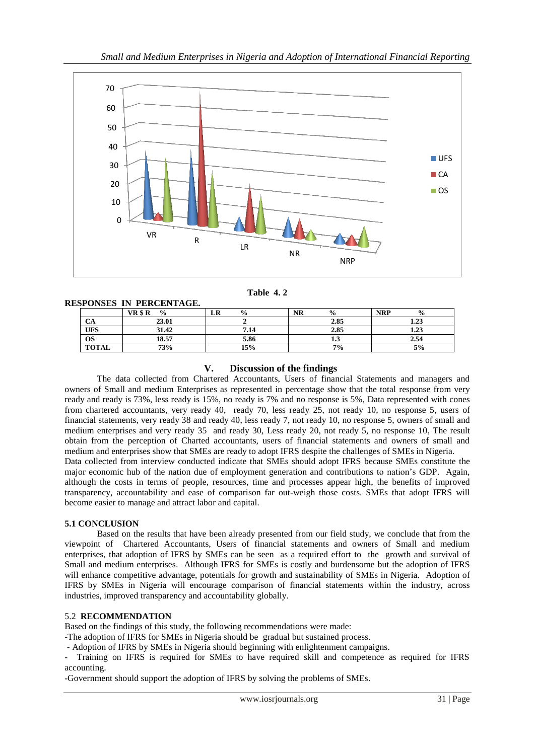

| Table | 4. |  |
|-------|----|--|
|       |    |  |

|              | RESPONSES IN PERCENTAGE. |               |    |               |                             |
|--------------|--------------------------|---------------|----|---------------|-----------------------------|
|              | VR \$R<br>$\frac{0}{0}$  | $\frac{0}{0}$ | NR | $\frac{0}{0}$ | <b>NRP</b><br>$\frac{0}{0}$ |
| CА           | 23.01                    |               |    | 2.85          | 1.23                        |
| <b>UFS</b>   | 31.42                    | 7.14          |    | 2.85          | 1.23                        |
| <b>OS</b>    | 18.57                    | 5.86          |    | 1.3           | 2.54                        |
| <b>TOTAL</b> | 73%                      | 15%           |    | 7%            | 5%                          |

# **V. Discussion of the findings**

The data collected from Chartered Accountants, Users of financial Statements and managers and owners of Small and medium Enterprises as represented in percentage show that the total response from very ready and ready is 73%, less ready is 15%, no ready is 7% and no response is 5%, Data represented with cones from chartered accountants, very ready 40, ready 70, less ready 25, not ready 10, no response 5, users of financial statements, very ready 38 and ready 40, less ready 7, not ready 10, no response 5, owners of small and medium enterprises and very ready 35 and ready 30, Less ready 20, not ready 5, no response 10, The result obtain from the perception of Charted accountants, users of financial statements and owners of small and medium and enterprises show that SMEs are ready to adopt IFRS despite the challenges of SMEs in Nigeria. Data collected from interview conducted indicate that SMEs should adopt IFRS because SMEs constitute the

major economic hub of the nation due of employment generation and contributions to nation's GDP. Again, although the costs in terms of people, resources, time and processes appear high, the benefits of improved transparency, accountability and ease of comparison far out-weigh those costs. SMEs that adopt IFRS will become easier to manage and attract labor and capital.

### **5.1 CONCLUSION**

Based on the results that have been already presented from our field study, we conclude that from the viewpoint of Chartered Accountants, Users of financial statements and owners of Small and medium enterprises, that adoption of IFRS by SMEs can be seen as a required effort to the growth and survival of Small and medium enterprises. Although IFRS for SMEs is costly and burdensome but the adoption of IFRS will enhance competitive advantage, potentials for growth and sustainability of SMEs in Nigeria. Adoption of IFRS by SMEs in Nigeria will encourage comparison of financial statements within the industry, across industries, improved transparency and accountability globally.

# 5.2 **RECOMMENDATION**

Based on the findings of this study, the following recommendations were made:

-The adoption of IFRS for SMEs in Nigeria should be gradual but sustained process.

- Adoption of IFRS by SMEs in Nigeria should beginning with enlightenment campaigns.

- Training on IFRS is required for SMEs to have required skill and competence as required for IFRS accounting.

-Government should support the adoption of IFRS by solving the problems of SMEs.